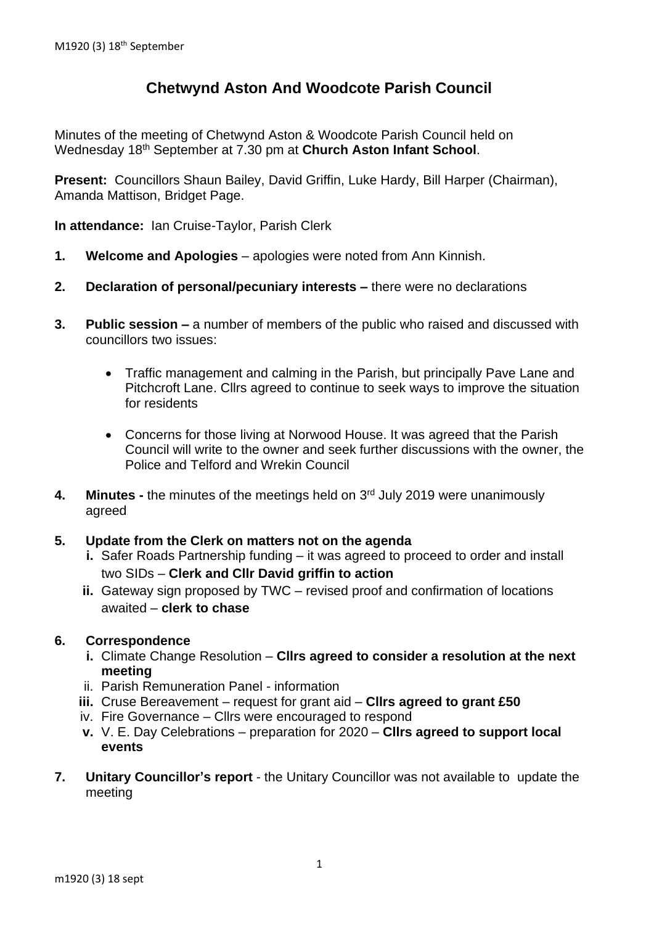# **Chetwynd Aston And Woodcote Parish Council**

Minutes of the meeting of Chetwynd Aston & Woodcote Parish Council held on Wednesday 18th September at 7.30 pm at **Church Aston Infant School**.

**Present:** Councillors Shaun Bailey, David Griffin, Luke Hardy, Bill Harper (Chairman), Amanda Mattison, Bridget Page.

**In attendance:** Ian Cruise-Taylor, Parish Clerk

- **1. Welcome and Apologies** apologies were noted from Ann Kinnish.
- **2. Declaration of personal/pecuniary interests –** there were no declarations
- **3. Public session –** a number of members of the public who raised and discussed with councillors two issues:
	- Traffic management and calming in the Parish, but principally Pave Lane and Pitchcroft Lane. Cllrs agreed to continue to seek ways to improve the situation for residents
	- Concerns for those living at Norwood House. It was agreed that the Parish Council will write to the owner and seek further discussions with the owner, the Police and Telford and Wrekin Council
- **4. Minutes -** the minutes of the meetings held on 3 rd July 2019 were unanimously agreed

## **5. Update from the Clerk on matters not on the agenda**

- **i.** Safer Roads Partnership funding it was agreed to proceed to order and install two SIDs – **Clerk and Cllr David griffin to action**
- **ii.** Gateway sign proposed by TWC revised proof and confirmation of locations awaited – **clerk to chase**

## **6. Correspondence**

- **i.** Climate Change Resolution **Cllrs agreed to consider a resolution at the next meeting**
- ii. Parish Remuneration Panel information
- **iii.** Cruse Bereavement request for grant aid **Cllrs agreed to grant £50**
- iv. Fire Governance Cllrs were encouraged to respond
- **v.** V. E. Day Celebrations preparation for 2020 **Cllrs agreed to support local events**
- **7. Unitary Councillor's report** the Unitary Councillor was not available to update the meeting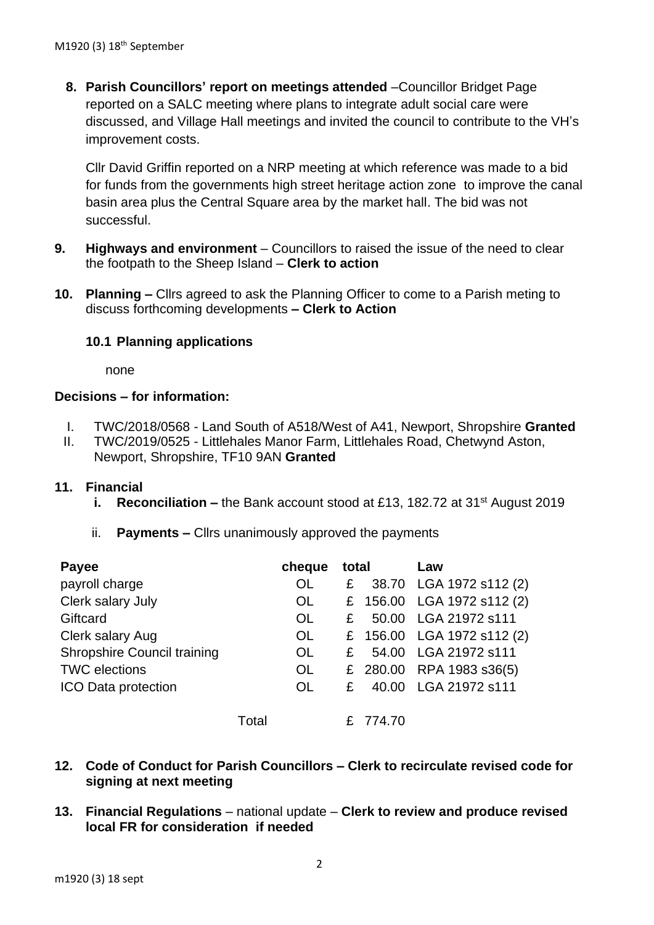**8. Parish Councillors' report on meetings attended** –Councillor Bridget Page reported on a SALC meeting where plans to integrate adult social care were discussed, and Village Hall meetings and invited the council to contribute to the VH's improvement costs.

Cllr David Griffin reported on a NRP meeting at which reference was made to a bid for funds from the governments high street heritage action zone to improve the canal basin area plus the Central Square area by the market hall. The bid was not successful.

- **9. Highways and environment** Councillors to raised the issue of the need to clear the footpath to the Sheep Island – **Clerk to action**
- **10. Planning –** Cllrs agreed to ask the Planning Officer to come to a Parish meting to discuss forthcoming developments **– Clerk to Action**

## **10.1 Planning applications**

none

## **Decisions – for information:**

- I. TWC/2018/0568 Land South of A518/West of A41, Newport, Shropshire **Granted**
- II. TWC/2019/0525 Littlehales Manor Farm, Littlehales Road, Chetwynd Aston, Newport, Shropshire, TF10 9AN **Granted**

## **11. Financial**

- **i. Reconciliation** the Bank account stood at £13, 182.72 at 31<sup>st</sup> August 2019
- ii. **Payments –** Cllrs unanimously approved the payments

| Payee                       |       | cheque    | total |          | Law                        |
|-----------------------------|-------|-----------|-------|----------|----------------------------|
| payroll charge              |       | <b>OL</b> | £     |          | 38.70 LGA 1972 s112 (2)    |
| Clerk salary July           |       | <b>OL</b> |       |          | £ 156.00 LGA 1972 s112 (2) |
| Giftcard                    |       | <b>OL</b> | £     |          | 50.00 LGA 21972 s111       |
| Clerk salary Aug            |       | <b>OL</b> |       |          | £ 156.00 LGA 1972 s112 (2) |
| Shropshire Council training |       | <b>OL</b> | £     |          | 54.00 LGA 21972 s111       |
| <b>TWC</b> elections        |       | <b>OL</b> |       |          | £ 280.00 RPA 1983 s36(5)   |
| <b>ICO Data protection</b>  |       | <b>OL</b> | £     |          | 40.00 LGA 21972 s111       |
|                             | Total |           |       | £ 774.70 |                            |

- **12. Code of Conduct for Parish Councillors – Clerk to recirculate revised code for signing at next meeting**
- **13. Financial Regulations** national update **Clerk to review and produce revised local FR for consideration if needed**